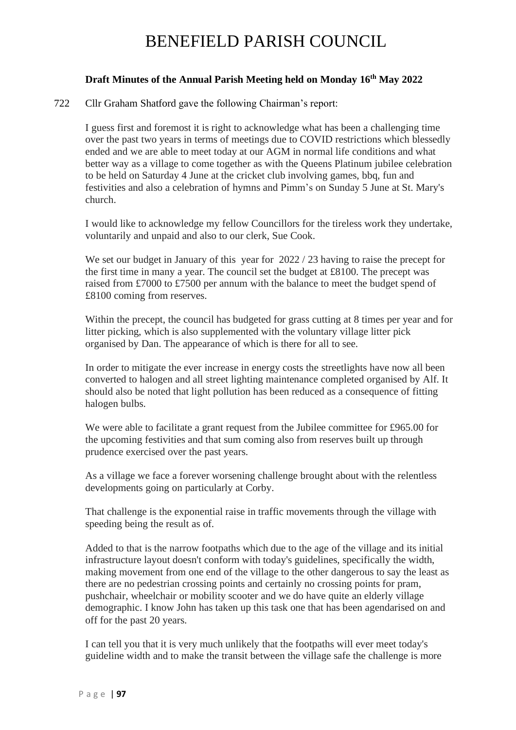## **Draft Minutes of the Annual Parish Meeting held on Monday 16th May 2022**

#### 722 Cllr Graham Shatford gave the following Chairman's report:

I guess first and foremost it is right to acknowledge what has been a challenging time over the past two years in terms of meetings due to COVID restrictions which blessedly ended and we are able to meet today at our AGM in normal life conditions and what better way as a village to come together as with the Queens Platinum jubilee celebration to be held on Saturday 4 June at the cricket club involving games, bbq, fun and festivities and also a celebration of hymns and Pimm's on Sunday 5 June at St. Mary's church.

I would like to acknowledge my fellow Councillors for the tireless work they undertake, voluntarily and unpaid and also to our clerk, Sue Cook.

We set our budget in January of this year for  $2022 / 23$  having to raise the precept for the first time in many a year. The council set the budget at £8100. The precept was raised from £7000 to £7500 per annum with the balance to meet the budget spend of £8100 coming from reserves.

Within the precept, the council has budgeted for grass cutting at 8 times per year and for litter picking, which is also supplemented with the voluntary village litter pick organised by Dan. The appearance of which is there for all to see.

In order to mitigate the ever increase in energy costs the streetlights have now all been converted to halogen and all street lighting maintenance completed organised by Alf. It should also be noted that light pollution has been reduced as a consequence of fitting halogen bulbs.

We were able to facilitate a grant request from the Jubilee committee for £965.00 for the upcoming festivities and that sum coming also from reserves built up through prudence exercised over the past years.

As a village we face a forever worsening challenge brought about with the relentless developments going on particularly at Corby.

That challenge is the exponential raise in traffic movements through the village with speeding being the result as of.

Added to that is the narrow footpaths which due to the age of the village and its initial infrastructure layout doesn't conform with today's guidelines, specifically the width, making movement from one end of the village to the other dangerous to say the least as there are no pedestrian crossing points and certainly no crossing points for pram, pushchair, wheelchair or mobility scooter and we do have quite an elderly village demographic. I know John has taken up this task one that has been agendarised on and off for the past 20 years.

I can tell you that it is very much unlikely that the footpaths will ever meet today's guideline width and to make the transit between the village safe the challenge is more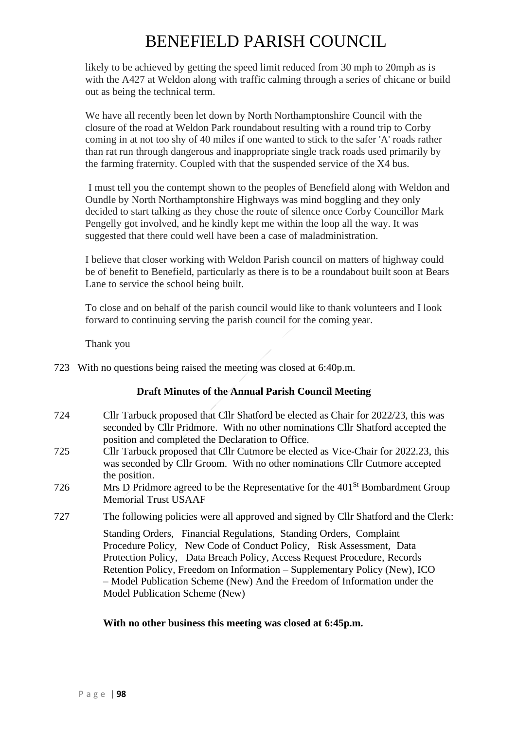likely to be achieved by getting the speed limit reduced from 30 mph to 20mph as is with the A427 at Weldon along with traffic calming through a series of chicane or build out as being the technical term.

We have all recently been let down by North Northamptonshire Council with the closure of the road at Weldon Park roundabout resulting with a round trip to Corby coming in at not too shy of 40 miles if one wanted to stick to the safer 'A' roads rather than rat run through dangerous and inappropriate single track roads used primarily by the farming fraternity. Coupled with that the suspended service of the X4 bus.

I must tell you the contempt shown to the peoples of Benefield along with Weldon and Oundle by North Northamptonshire Highways was mind boggling and they only decided to start talking as they chose the route of silence once Corby Councillor Mark Pengelly got involved, and he kindly kept me within the loop all the way. It was suggested that there could well have been a case of maladministration.

I believe that closer working with Weldon Parish council on matters of highway could be of benefit to Benefield, particularly as there is to be a roundabout built soon at Bears Lane to service the school being built.

To close and on behalf of the parish council would like to thank volunteers and I look forward to continuing serving the parish council for the coming year.

Thank you

723 With no questions being raised the meeting was closed at 6:40p.m.

## **Draft Minutes of the Annual Parish Council Meeting**

- 724 Cllr Tarbuck proposed that Cllr Shatford be elected as Chair for 2022/23, this was seconded by Cllr Pridmore. With no other nominations Cllr Shatford accepted the position and completed the Declaration to Office.
- 725 Cllr Tarbuck proposed that Cllr Cutmore be elected as Vice-Chair for 2022.23, this was seconded by Cllr Groom. With no other nominations Cllr Cutmore accepted the position.
- 726 Mrs D Pridmore agreed to be the Representative for the 401<sup>St</sup> Bombardment Group Memorial Trust USAAF
- 727 The following policies were all approved and signed by Cllr Shatford and the Clerk:

Standing Orders, Financial Regulations, Standing Orders, Complaint Procedure Policy, New Code of Conduct Policy, Risk Assessment, Data Protection Policy, Data Breach Policy, Access Request Procedure, Records Retention Policy, Freedom on Information – Supplementary Policy (New), ICO – Model Publication Scheme (New) And the Freedom of Information under the Model Publication Scheme (New)

#### **With no other business this meeting was closed at 6:45p.m.**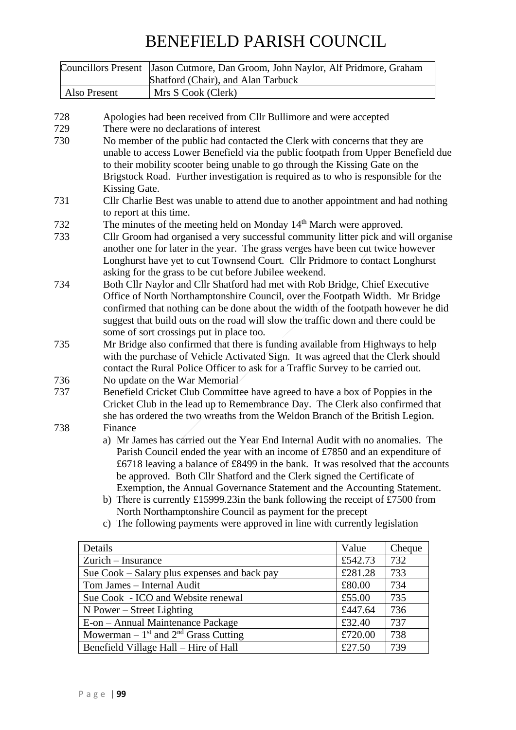| <b>Councillors Present</b> |                                                                                                                                                                                                                                                                                                                                                                                   | Jason Cutmore, Dan Groom, John Naylor, Alf Pridmore, Graham                                                                                                                                                                                                                                                                                                                                                                                                                                                                                                                                                                          |         |        |  |  |
|----------------------------|-----------------------------------------------------------------------------------------------------------------------------------------------------------------------------------------------------------------------------------------------------------------------------------------------------------------------------------------------------------------------------------|--------------------------------------------------------------------------------------------------------------------------------------------------------------------------------------------------------------------------------------------------------------------------------------------------------------------------------------------------------------------------------------------------------------------------------------------------------------------------------------------------------------------------------------------------------------------------------------------------------------------------------------|---------|--------|--|--|
|                            |                                                                                                                                                                                                                                                                                                                                                                                   | Shatford (Chair), and Alan Tarbuck                                                                                                                                                                                                                                                                                                                                                                                                                                                                                                                                                                                                   |         |        |  |  |
|                            | Also Present                                                                                                                                                                                                                                                                                                                                                                      | Mrs S Cook (Clerk)                                                                                                                                                                                                                                                                                                                                                                                                                                                                                                                                                                                                                   |         |        |  |  |
| 728                        |                                                                                                                                                                                                                                                                                                                                                                                   | Apologies had been received from Cllr Bullimore and were accepted                                                                                                                                                                                                                                                                                                                                                                                                                                                                                                                                                                    |         |        |  |  |
| 729                        |                                                                                                                                                                                                                                                                                                                                                                                   | There were no declarations of interest                                                                                                                                                                                                                                                                                                                                                                                                                                                                                                                                                                                               |         |        |  |  |
| 730                        | No member of the public had contacted the Clerk with concerns that they are<br>unable to access Lower Benefield via the public footpath from Upper Benefield due<br>to their mobility scooter being unable to go through the Kissing Gate on the<br>Brigstock Road. Further investigation is required as to who is responsible for the                                            |                                                                                                                                                                                                                                                                                                                                                                                                                                                                                                                                                                                                                                      |         |        |  |  |
| 731                        | Kissing Gate.<br>Cllr Charlie Best was unable to attend due to another appointment and had nothing                                                                                                                                                                                                                                                                                |                                                                                                                                                                                                                                                                                                                                                                                                                                                                                                                                                                                                                                      |         |        |  |  |
|                            | to report at this time.                                                                                                                                                                                                                                                                                                                                                           |                                                                                                                                                                                                                                                                                                                                                                                                                                                                                                                                                                                                                                      |         |        |  |  |
| 732                        | The minutes of the meeting held on Monday 14 <sup>th</sup> March were approved.                                                                                                                                                                                                                                                                                                   |                                                                                                                                                                                                                                                                                                                                                                                                                                                                                                                                                                                                                                      |         |        |  |  |
| 733                        | Cllr Groom had organised a very successful community litter pick and will organise                                                                                                                                                                                                                                                                                                |                                                                                                                                                                                                                                                                                                                                                                                                                                                                                                                                                                                                                                      |         |        |  |  |
|                            | another one for later in the year. The grass verges have been cut twice however<br>Longhurst have yet to cut Townsend Court. Cllr Pridmore to contact Longhurst<br>asking for the grass to be cut before Jubilee weekend.                                                                                                                                                         |                                                                                                                                                                                                                                                                                                                                                                                                                                                                                                                                                                                                                                      |         |        |  |  |
| 734                        | Both Cllr Naylor and Cllr Shatford had met with Rob Bridge, Chief Executive<br>Office of North Northamptonshire Council, over the Footpath Width. Mr Bridge<br>confirmed that nothing can be done about the width of the footpath however he did<br>suggest that build outs on the road will slow the traffic down and there could be<br>some of sort crossings put in place too. |                                                                                                                                                                                                                                                                                                                                                                                                                                                                                                                                                                                                                                      |         |        |  |  |
| 735                        | Mr Bridge also confirmed that there is funding available from Highways to help<br>with the purchase of Vehicle Activated Sign. It was agreed that the Clerk should<br>contact the Rural Police Officer to ask for a Traffic Survey to be carried out.                                                                                                                             |                                                                                                                                                                                                                                                                                                                                                                                                                                                                                                                                                                                                                                      |         |        |  |  |
| 736                        | No update on the War Memorial                                                                                                                                                                                                                                                                                                                                                     |                                                                                                                                                                                                                                                                                                                                                                                                                                                                                                                                                                                                                                      |         |        |  |  |
| 737                        | Benefield Cricket Club Committee have agreed to have a box of Poppies in the<br>Cricket Club in the lead up to Remembrance Day. The Clerk also confirmed that<br>she has ordered the two wreaths from the Weldon Branch of the British Legion.                                                                                                                                    |                                                                                                                                                                                                                                                                                                                                                                                                                                                                                                                                                                                                                                      |         |        |  |  |
| 738                        | Finance                                                                                                                                                                                                                                                                                                                                                                           | a) Mr James has carried out the Year End Internal Audit with no anomalies. The<br>Parish Council ended the year with an income of £7850 and an expenditure of<br>£6718 leaving a balance of £8499 in the bank. It was resolved that the accounts<br>be approved. Both Cllr Shatford and the Clerk signed the Certificate of<br>Exemption, the Annual Governance Statement and the Accounting Statement.<br>b) There is currently £15999.23in the bank following the receipt of £7500 from<br>North Northamptonshire Council as payment for the precept<br>c) The following payments were approved in line with currently legislation |         |        |  |  |
|                            | Details                                                                                                                                                                                                                                                                                                                                                                           |                                                                                                                                                                                                                                                                                                                                                                                                                                                                                                                                                                                                                                      | Value   | Cheque |  |  |
|                            | Zurich – Insurance                                                                                                                                                                                                                                                                                                                                                                |                                                                                                                                                                                                                                                                                                                                                                                                                                                                                                                                                                                                                                      | £542.73 | 732    |  |  |
|                            |                                                                                                                                                                                                                                                                                                                                                                                   | £281.28                                                                                                                                                                                                                                                                                                                                                                                                                                                                                                                                                                                                                              | 733     |        |  |  |
|                            | Sue Cook – Salary plus expenses and back pay<br>Tom James - Internal Audit<br>£80.00                                                                                                                                                                                                                                                                                              |                                                                                                                                                                                                                                                                                                                                                                                                                                                                                                                                                                                                                                      |         | 734    |  |  |
|                            | Sue Cook - ICO and Website renewal<br>£55.00<br>735                                                                                                                                                                                                                                                                                                                               |                                                                                                                                                                                                                                                                                                                                                                                                                                                                                                                                                                                                                                      |         |        |  |  |
|                            | N Power – Street Lighting                                                                                                                                                                                                                                                                                                                                                         |                                                                                                                                                                                                                                                                                                                                                                                                                                                                                                                                                                                                                                      | £447.64 | 736    |  |  |
|                            |                                                                                                                                                                                                                                                                                                                                                                                   | E-on - Annual Maintenance Package                                                                                                                                                                                                                                                                                                                                                                                                                                                                                                                                                                                                    | £32.40  | 737    |  |  |
|                            |                                                                                                                                                                                                                                                                                                                                                                                   | Mowerman – $1st$ and $2nd$ Grass Cutting                                                                                                                                                                                                                                                                                                                                                                                                                                                                                                                                                                                             | £720.00 | 738    |  |  |
|                            |                                                                                                                                                                                                                                                                                                                                                                                   |                                                                                                                                                                                                                                                                                                                                                                                                                                                                                                                                                                                                                                      |         |        |  |  |

Benefield Village Hall – Hire of Hall **E27.50** 739